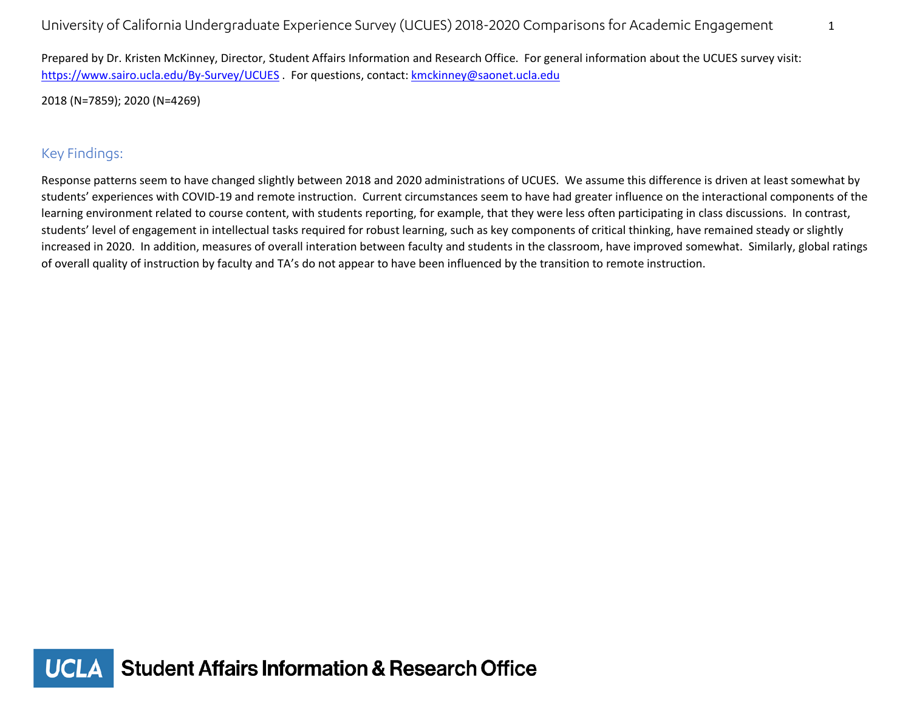Prepared by Dr. Kristen McKinney, Director, Student Affairs Information and Research Office. For general information about the UCUES survey visit: <https://www.sairo.ucla.edu/By-Survey/UCUES> . For questions, contact: [kmckinney@saonet.ucla.edu](mailto:kmckinney@saonet.ucla.edu)

2018 (N=7859); 2020 (N=4269)

## Key Findings:

Response patterns seem to have changed slightly between 2018 and 2020 administrations of UCUES. We assume this difference is driven at least somewhat by students' experiences with COVID-19 and remote instruction. Current circumstances seem to have had greater influence on the interactional components of the learning environment related to course content, with students reporting, for example, that they were less often participating in class discussions. In contrast, students' level of engagement in intellectual tasks required for robust learning, such as key components of critical thinking, have remained steady or slightly increased in 2020. In addition, measures of overall interation between faculty and students in the classroom, have improved somewhat. Similarly, global ratings of overall quality of instruction by faculty and TA's do not appear to have been influenced by the transition to remote instruction.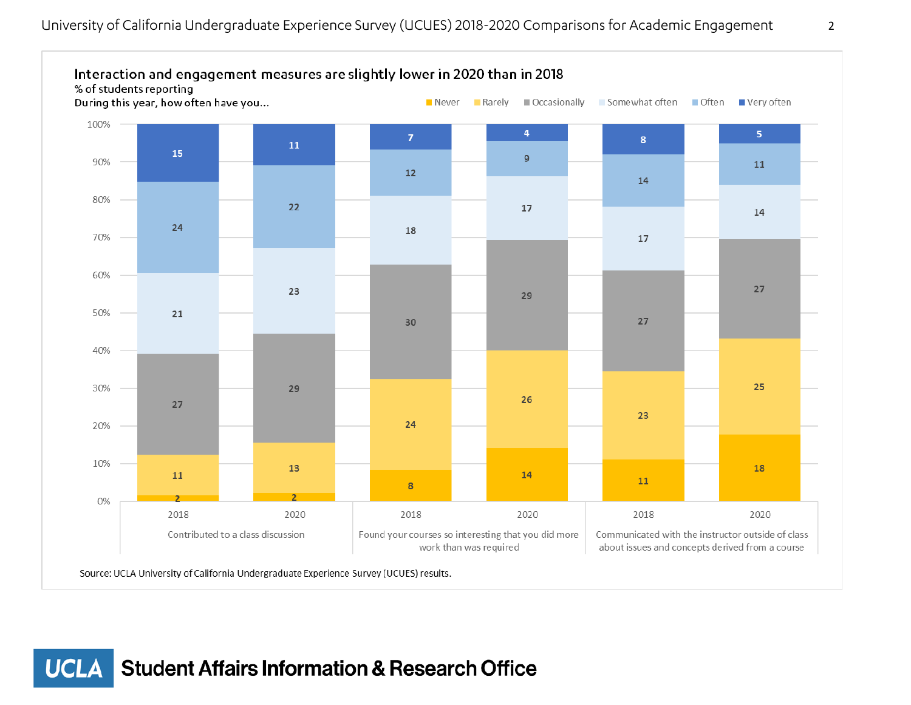

**Student Affairs Information & Research Office UCLA**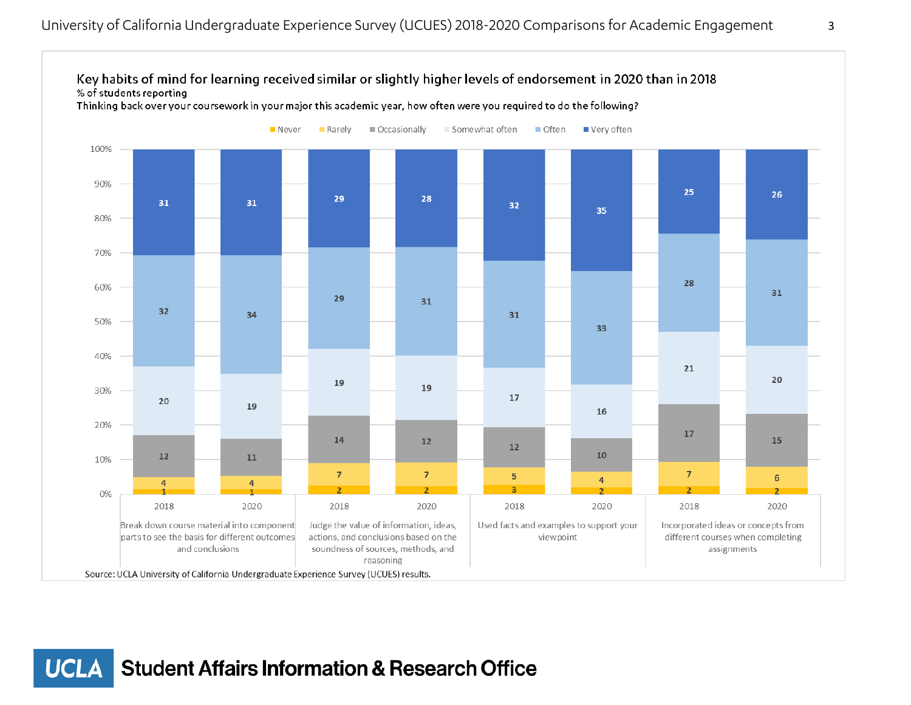

**UCLA Student Affairs Information & Research Office**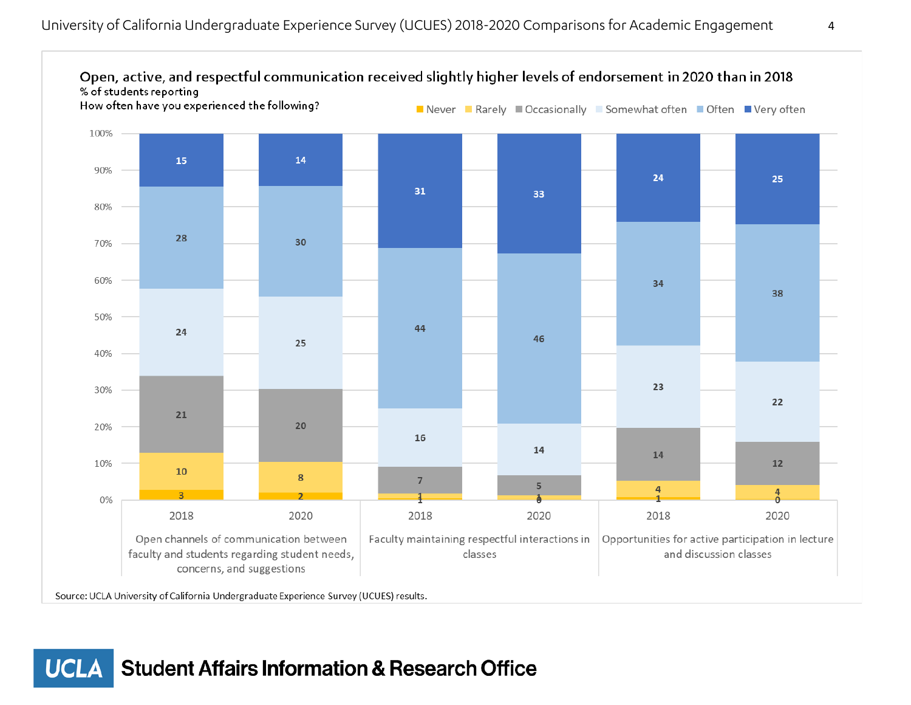

**Student Affairs Information & Research Office UCLA**